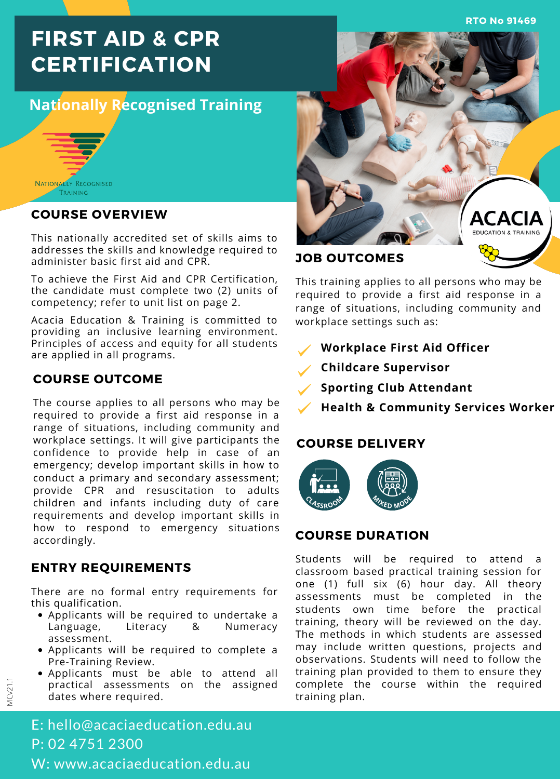**RTO No 91469**

# **FIRST AID & CPR CERTIFICATION**

# **Nationally Recognised Training**



#### **COURSE OVERVIEW**

This nationally accredited set of skills aims to addresses the skills and knowledge required to administer basic first aid and CPR.

To achieve the First Aid and CPR Certification, the candidate must complete two (2) units of competency; refer to unit list on page 2.

Acacia Education & Training is committed to providing an inclusive learning environment. Principles of access and equity for all students are applied in all programs.

# **COURSE OUTCOME**

The course applies to all persons who may be required to provide a first aid response in a range of situations, including community and workplace settings. It will give participants the confidence to provide help in case of an emergency; develop important skills in how to conduct a primary and secondary assessment; provide CPR and resuscitation to adults children and infants including duty of care requirements and develop important skills in how to respond to emergency situations accordingly.

### **ENTRY REQUIREMENTS**

MCv21.1

There are no formal entry requirements for this qualification.

- Applicants will be required to undertake a Language, Literacy & Numeracy assessment.
- Applicants will be required to complete a Pre-Training Review.
- Applicants must be able to attend all practical assessments on the assigned dates where required.

E: hello@acaciaeducation.edu.au P: 02 4751 2300 W: www.acaciaeducation.edu.au



### **JOB OUTCOMES**

This training applies to all persons who may be required to provide a first aid response in a range of situations, including community and workplace settings such as:

- **Workplace First Aid Officer**
- **Childcare Supervisor**
- **Sporting Club Attendant**
- **Health & Community Services Worker**

### **COURSE DELIVERY**



#### **COURSE DURATION**

Students will be required to attend a classroom based practical training session for one (1) full six (6) hour day. All theory assessments must be completed in the students own time before the practical training, theory will be reviewed on the day. The methods in which students are assessed may include written questions, projects and observations. Students will need to follow the training plan provided to them to ensure they complete the course within the required training plan.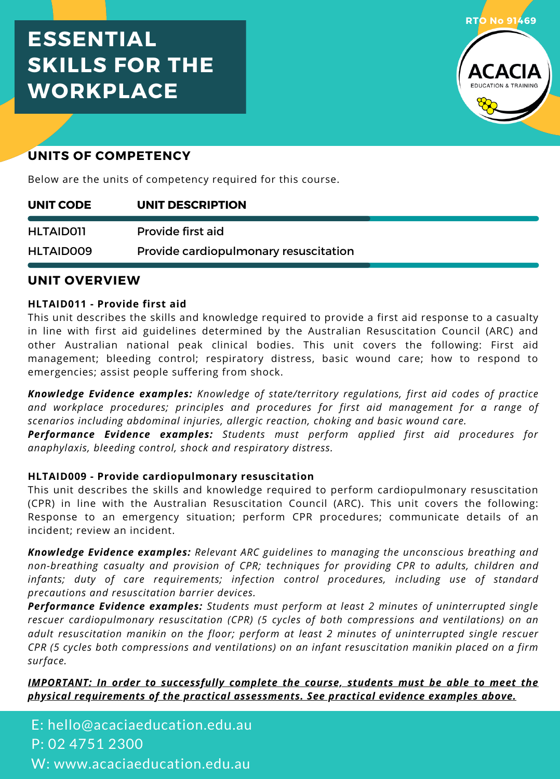# **ESSENTIAL SKILLS FOR THE WORKPLACE**



# **UNITS OF COMPETENCY**

Below are the units of competency required for this course.

| UNIT CODE        | UNIT DESCRIPTION                      |
|------------------|---------------------------------------|
| <b>HLTAID011</b> | Provide first aid                     |
| HLTAID009        | Provide cardiopulmonary resuscitation |

#### **UNIT OVERVIEW**

#### **HLTAID011 - Provide first aid**

This unit describes the skills and knowledge required to provide a first aid response to a casualty in line with first aid guidelines determined by the Australian Resuscitation Council (ARC) and other Australian national peak clinical bodies. This unit covers the following: First aid management; bleeding control; respiratory distress, basic wound care; how to respond to emergencies; assist people suffering from shock.

*Knowledge Evidence examples: Knowledge of state/territory regulations, first aid codes of practice and workplace procedures; principles and procedures for first aid management for a range of scenarios including abdominal injuries, allergic reaction, choking and basic wound care.*

*Performance Evidence examples: Students must perform applied first aid procedures for anaphylaxis, bleeding control, shock and respiratory distress.*

#### **HLTAID009 - Provide cardiopulmonary resuscitation**

This unit describes the skills and knowledge required to perform cardiopulmonary resuscitation (CPR) in line with the Australian Resuscitation Council (ARC). This unit covers the following: Response to an emergency situation; perform CPR procedures; communicate details of an incident; review an incident.

*Knowledge Evidence examples: Relevant ARC guidelines to managing the unconscious breathing and non-breathing casualty and provision of CPR; techniques for providing CPR to adults, children and infants; duty of care requirements; infection control procedures, including use of standard precautions and resuscitation barrier devices.*

*Performance Evidence examples: Students must perform at least 2 minutes of uninterrupted single rescuer cardiopulmonary resuscitation (CPR) (5 cycles of both compressions and ventilations) on an adult resuscitation manikin on the floor; perform at least 2 minutes of uninterrupted single rescuer CPR (5 cycles both compressions and ventilations) on an infant resuscitation manikin placed on a firm surface.*

*IMPORTANT: In order to successfully complete the course, students must be able to meet the physical requirements of the practical assessments. See practical evidence examples above.*

E: hello@acaciaeducation.edu.au P: 02 4751 2300 W: www.acaciaeducation.edu.au